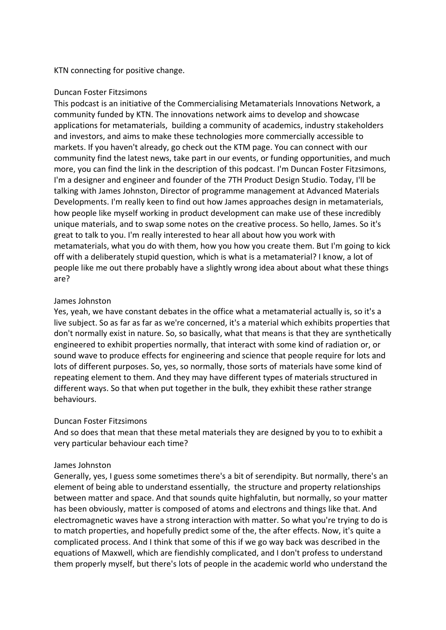KTN connecting for positive change.

#### Duncan Foster Fitzsimons

This podcast is an initiative of the Commercialising Metamaterials Innovations Network, a community funded by KTN. The innovations network aims to develop and showcase applications for metamaterials, building a community of academics, industry stakeholders and investors, and aims to make these technologies more commercially accessible to markets. If you haven't already, go check out the KTM page. You can connect with our community find the latest news, take part in our events, or funding opportunities, and much more, you can find the link in the description of this podcast. I'm Duncan Foster Fitzsimons, I'm a designer and engineer and founder of the 7TH Product Design Studio. Today, I'll be talking with James Johnston, Director of programme management at Advanced Materials Developments. I'm really keen to find out how James approaches design in metamaterials, how people like myself working in product development can make use of these incredibly unique materials, and to swap some notes on the creative process. So hello, James. So it's great to talk to you. I'm really interested to hear all about how you work with metamaterials, what you do with them, how you how you create them. But I'm going to kick off with a deliberately stupid question, which is what is a metamaterial? I know, a lot of people like me out there probably have a slightly wrong idea about about what these things are?

### James Johnston

Yes, yeah, we have constant debates in the office what a metamaterial actually is, so it's a live subject. So as far as far as we're concerned, it's a material which exhibits properties that don't normally exist in nature. So, so basically, what that means is that they are synthetically engineered to exhibit properties normally, that interact with some kind of radiation or, or sound wave to produce effects for engineering and science that people require for lots and lots of different purposes. So, yes, so normally, those sorts of materials have some kind of repeating element to them. And they may have different types of materials structured in different ways. So that when put together in the bulk, they exhibit these rather strange behaviours.

### Duncan Foster Fitzsimons

And so does that mean that these metal materials they are designed by you to to exhibit a very particular behaviour each time?

### James Johnston

Generally, yes, I guess some sometimes there's a bit of serendipity. But normally, there's an element of being able to understand essentially, the structure and property relationships between matter and space. And that sounds quite highfalutin, but normally, so your matter has been obviously, matter is composed of atoms and electrons and things like that. And electromagnetic waves have a strong interaction with matter. So what you're trying to do is to match properties, and hopefully predict some of the, the after effects. Now, it's quite a complicated process. And I think that some of this if we go way back was described in the equations of Maxwell, which are fiendishly complicated, and I don't profess to understand them properly myself, but there's lots of people in the academic world who understand the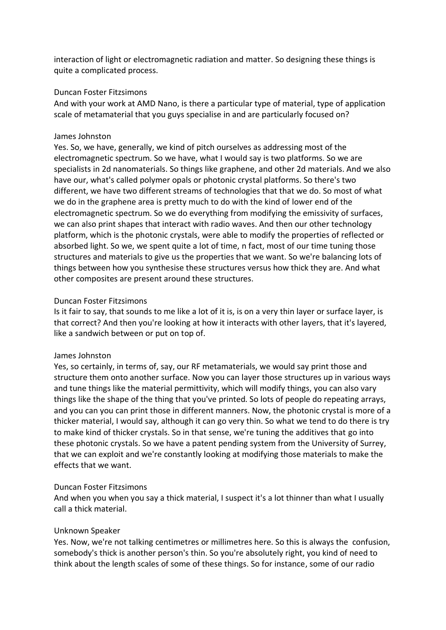interaction of light or electromagnetic radiation and matter. So designing these things is quite a complicated process.

## Duncan Foster Fitzsimons

And with your work at AMD Nano, is there a particular type of material, type of application scale of metamaterial that you guys specialise in and are particularly focused on?

# James Johnston

Yes. So, we have, generally, we kind of pitch ourselves as addressing most of the electromagnetic spectrum. So we have, what I would say is two platforms. So we are specialists in 2d nanomaterials. So things like graphene, and other 2d materials. And we also have our, what's called polymer opals or photonic crystal platforms. So there's two different, we have two different streams of technologies that that we do. So most of what we do in the graphene area is pretty much to do with the kind of lower end of the electromagnetic spectrum. So we do everything from modifying the emissivity of surfaces, we can also print shapes that interact with radio waves. And then our other technology platform, which is the photonic crystals, were able to modify the properties of reflected or absorbed light. So we, we spent quite a lot of time, n fact, most of our time tuning those structures and materials to give us the properties that we want. So we're balancing lots of things between how you synthesise these structures versus how thick they are. And what other composites are present around these structures.

# Duncan Foster Fitzsimons

Is it fair to say, that sounds to me like a lot of it is, is on a very thin layer or surface layer, is that correct? And then you're looking at how it interacts with other layers, that it's layered, like a sandwich between or put on top of.

# James Johnston

Yes, so certainly, in terms of, say, our RF metamaterials, we would say print those and structure them onto another surface. Now you can layer those structures up in various ways and tune things like the material permittivity, which will modify things, you can also vary things like the shape of the thing that you've printed. So lots of people do repeating arrays, and you can you can print those in different manners. Now, the photonic crystal is more of a thicker material, I would say, although it can go very thin. So what we tend to do there is try to make kind of thicker crystals. So in that sense, we're tuning the additives that go into these photonic crystals. So we have a patent pending system from the University of Surrey, that we can exploit and we're constantly looking at modifying those materials to make the effects that we want.

### Duncan Foster Fitzsimons

And when you when you say a thick material, I suspect it's a lot thinner than what I usually call a thick material.

# Unknown Speaker

Yes. Now, we're not talking centimetres or millimetres here. So this is always the confusion, somebody's thick is another person's thin. So you're absolutely right, you kind of need to think about the length scales of some of these things. So for instance, some of our radio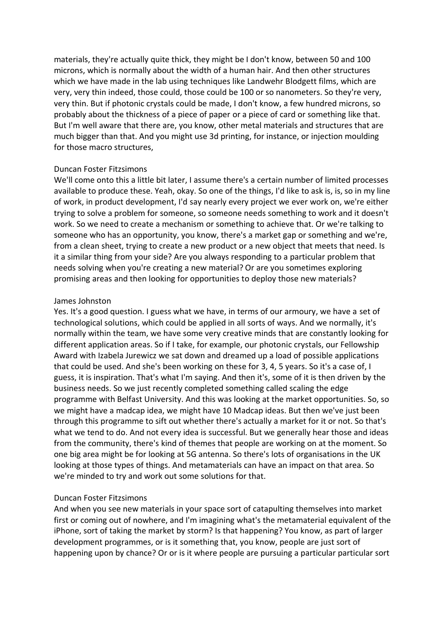materials, they're actually quite thick, they might be I don't know, between 50 and 100 microns, which is normally about the width of a human hair. And then other structures which we have made in the lab using techniques like Landwehr Blodgett films, which are very, very thin indeed, those could, those could be 100 or so nanometers. So they're very, very thin. But if photonic crystals could be made, I don't know, a few hundred microns, so probably about the thickness of a piece of paper or a piece of card or something like that. But I'm well aware that there are, you know, other metal materials and structures that are much bigger than that. And you might use 3d printing, for instance, or injection moulding for those macro structures,

### Duncan Foster Fitzsimons

We'll come onto this a little bit later, I assume there's a certain number of limited processes available to produce these. Yeah, okay. So one of the things, I'd like to ask is, is, so in my line of work, in product development, I'd say nearly every project we ever work on, we're either trying to solve a problem for someone, so someone needs something to work and it doesn't work. So we need to create a mechanism or something to achieve that. Or we're talking to someone who has an opportunity, you know, there's a market gap or something and we're, from a clean sheet, trying to create a new product or a new object that meets that need. Is it a similar thing from your side? Are you always responding to a particular problem that needs solving when you're creating a new material? Or are you sometimes exploring promising areas and then looking for opportunities to deploy those new materials?

# James Johnston

Yes. It's a good question. I guess what we have, in terms of our armoury, we have a set of technological solutions, which could be applied in all sorts of ways. And we normally, it's normally within the team, we have some very creative minds that are constantly looking for different application areas. So if I take, for example, our photonic crystals, our Fellowship Award with Izabela Jurewicz we sat down and dreamed up a load of possible applications that could be used. And she's been working on these for 3, 4, 5 years. So it's a case of, I guess, it is inspiration. That's what I'm saying. And then it's, some of it is then driven by the business needs. So we just recently completed something called scaling the edge programme with Belfast University. And this was looking at the market opportunities. So, so we might have a madcap idea, we might have 10 Madcap ideas. But then we've just been through this programme to sift out whether there's actually a market for it or not. So that's what we tend to do. And not every idea is successful. But we generally hear those and ideas from the community, there's kind of themes that people are working on at the moment. So one big area might be for looking at 5G antenna. So there's lots of organisations in the UK looking at those types of things. And metamaterials can have an impact on that area. So we're minded to try and work out some solutions for that.

# Duncan Foster Fitzsimons

And when you see new materials in your space sort of catapulting themselves into market first or coming out of nowhere, and I'm imagining what's the metamaterial equivalent of the iPhone, sort of taking the market by storm? Is that happening? You know, as part of larger development programmes, or is it something that, you know, people are just sort of happening upon by chance? Or or is it where people are pursuing a particular particular sort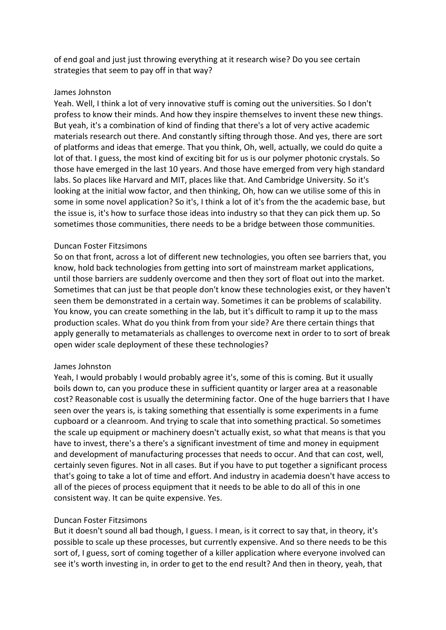of end goal and just just throwing everything at it research wise? Do you see certain strategies that seem to pay off in that way?

## James Johnston

Yeah. Well, I think a lot of very innovative stuff is coming out the universities. So I don't profess to know their minds. And how they inspire themselves to invent these new things. But yeah, it's a combination of kind of finding that there's a lot of very active academic materials research out there. And constantly sifting through those. And yes, there are sort of platforms and ideas that emerge. That you think, Oh, well, actually, we could do quite a lot of that. I guess, the most kind of exciting bit for us is our polymer photonic crystals. So those have emerged in the last 10 years. And those have emerged from very high standard labs. So places like Harvard and MIT, places like that. And Cambridge University. So it's looking at the initial wow factor, and then thinking, Oh, how can we utilise some of this in some in some novel application? So it's, I think a lot of it's from the the academic base, but the issue is, it's how to surface those ideas into industry so that they can pick them up. So sometimes those communities, there needs to be a bridge between those communities.

# Duncan Foster Fitzsimons

So on that front, across a lot of different new technologies, you often see barriers that, you know, hold back technologies from getting into sort of mainstream market applications, until those barriers are suddenly overcome and then they sort of float out into the market. Sometimes that can just be that people don't know these technologies exist, or they haven't seen them be demonstrated in a certain way. Sometimes it can be problems of scalability. You know, you can create something in the lab, but it's difficult to ramp it up to the mass production scales. What do you think from from your side? Are there certain things that apply generally to metamaterials as challenges to overcome next in order to to sort of break open wider scale deployment of these these technologies?

### James Johnston

Yeah, I would probably I would probably agree it's, some of this is coming. But it usually boils down to, can you produce these in sufficient quantity or larger area at a reasonable cost? Reasonable cost is usually the determining factor. One of the huge barriers that I have seen over the years is, is taking something that essentially is some experiments in a fume cupboard or a cleanroom. And trying to scale that into something practical. So sometimes the scale up equipment or machinery doesn't actually exist, so what that means is that you have to invest, there's a there's a significant investment of time and money in equipment and development of manufacturing processes that needs to occur. And that can cost, well, certainly seven figures. Not in all cases. But if you have to put together a significant process that's going to take a lot of time and effort. And industry in academia doesn't have access to all of the pieces of process equipment that it needs to be able to do all of this in one consistent way. It can be quite expensive. Yes.

# Duncan Foster Fitzsimons

But it doesn't sound all bad though, I guess. I mean, is it correct to say that, in theory, it's possible to scale up these processes, but currently expensive. And so there needs to be this sort of, I guess, sort of coming together of a killer application where everyone involved can see it's worth investing in, in order to get to the end result? And then in theory, yeah, that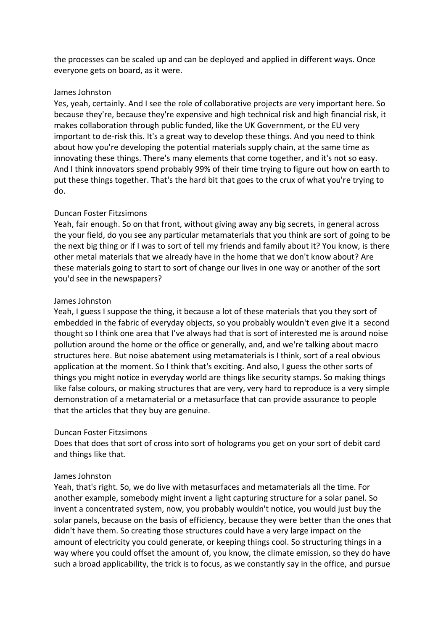the processes can be scaled up and can be deployed and applied in different ways. Once everyone gets on board, as it were.

## James Johnston

Yes, yeah, certainly. And I see the role of collaborative projects are very important here. So because they're, because they're expensive and high technical risk and high financial risk, it makes collaboration through public funded, like the UK Government, or the EU very important to de-risk this. It's a great way to develop these things. And you need to think about how you're developing the potential materials supply chain, at the same time as innovating these things. There's many elements that come together, and it's not so easy. And I think innovators spend probably 99% of their time trying to figure out how on earth to put these things together. That's the hard bit that goes to the crux of what you're trying to do.

# Duncan Foster Fitzsimons

Yeah, fair enough. So on that front, without giving away any big secrets, in general across the your field, do you see any particular metamaterials that you think are sort of going to be the next big thing or if I was to sort of tell my friends and family about it? You know, is there other metal materials that we already have in the home that we don't know about? Are these materials going to start to sort of change our lives in one way or another of the sort you'd see in the newspapers?

# James Johnston

Yeah, I guess I suppose the thing, it because a lot of these materials that you they sort of embedded in the fabric of everyday objects, so you probably wouldn't even give it a second thought so I think one area that I've always had that is sort of interested me is around noise pollution around the home or the office or generally, and, and we're talking about macro structures here. But noise abatement using metamaterials is I think, sort of a real obvious application at the moment. So I think that's exciting. And also, I guess the other sorts of things you might notice in everyday world are things like security stamps. So making things like false colours, or making structures that are very, very hard to reproduce is a very simple demonstration of a metamaterial or a metasurface that can provide assurance to people that the articles that they buy are genuine.

# Duncan Foster Fitzsimons

Does that does that sort of cross into sort of holograms you get on your sort of debit card and things like that.

### James Johnston

Yeah, that's right. So, we do live with metasurfaces and metamaterials all the time. For another example, somebody might invent a light capturing structure for a solar panel. So invent a concentrated system, now, you probably wouldn't notice, you would just buy the solar panels, because on the basis of efficiency, because they were better than the ones that didn't have them. So creating those structures could have a very large impact on the amount of electricity you could generate, or keeping things cool. So structuring things in a way where you could offset the amount of, you know, the climate emission, so they do have such a broad applicability, the trick is to focus, as we constantly say in the office, and pursue